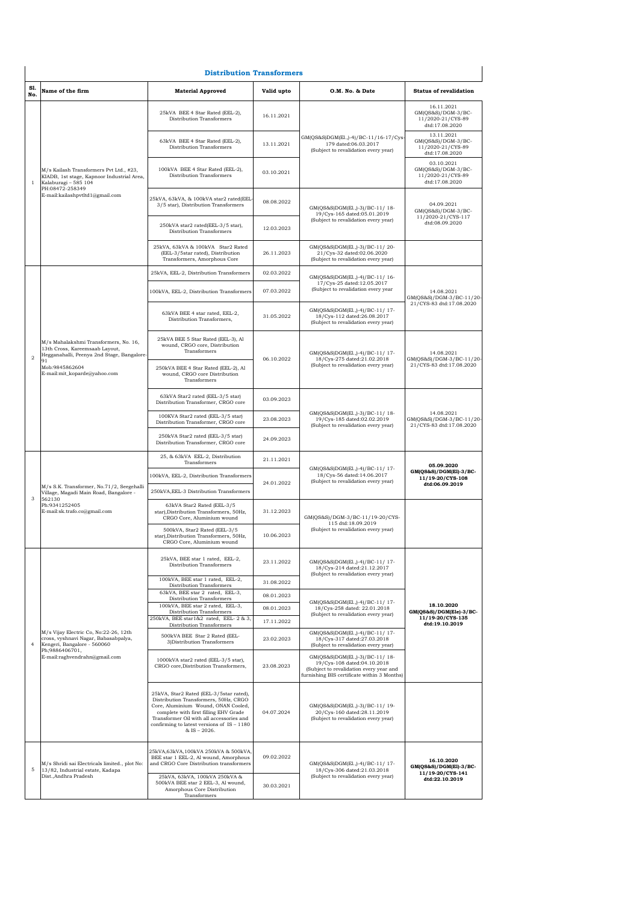## **Distribution Transformers**

|                | <b>Distribution Transformers</b>                                                                                                                                              |                                                                                                                                                                                                                                                                                |            |                                                                                                                                                         |                                                                            |  |  |
|----------------|-------------------------------------------------------------------------------------------------------------------------------------------------------------------------------|--------------------------------------------------------------------------------------------------------------------------------------------------------------------------------------------------------------------------------------------------------------------------------|------------|---------------------------------------------------------------------------------------------------------------------------------------------------------|----------------------------------------------------------------------------|--|--|
| S1.<br>No.     | Name of the firm                                                                                                                                                              | <b>Material Approved</b>                                                                                                                                                                                                                                                       | Valid upto | O.M. No. & Date                                                                                                                                         | <b>Status of revalidation</b>                                              |  |  |
|                | M/s Kailash Transformers Pvt Ltd., #23,<br>KIADB, 1st stage, Kapnoor Industrial Area,<br>Kalaburagi - 585 104<br>PH:08472-258349<br>E-mail:kailashpvtltd1@gmail.com           | 25kVA BEE 4 Star Rated (EEL-2),<br>Distribution Transformers                                                                                                                                                                                                                   | 16.11.2021 |                                                                                                                                                         | 16.11.2021<br>$GM(QS&S)/DGM-3/BC-$<br>11/2020-21/CYS-89<br>dtd:17.08.2020  |  |  |
|                |                                                                                                                                                                               | 63kVA BEE 4 Star Rated (EEL-2),<br>Distribution Transformers                                                                                                                                                                                                                   | 13.11.2021 | GM(QS&S)DGM(El.,)-4)/BC-11/16-17/Cys-<br>179 dated:06.03.2017<br>(Subject to revalidation every year)                                                   | 13.11.2021<br>GM(QS&S)/DGM-3/BC-<br>11/2020-21/CYS-89<br>dtd:17.08.2020    |  |  |
| $\mathbf{1}$   |                                                                                                                                                                               | 100kVA BEE 4 Star Rated (EEL-2),<br>Distribution Transformers                                                                                                                                                                                                                  | 03.10.2021 |                                                                                                                                                         | 03.10.2021<br>GM(QS&S)/DGM-3/BC-<br>11/2020-21/CYS-89<br>dtd:17.08.2020    |  |  |
|                |                                                                                                                                                                               | 25kVA, 63kVA, & 100kVA star2 rated(EEL-<br>3/5 star), Distribution Transformers                                                                                                                                                                                                | 08.08.2022 | GM(QS&S)DGM(El.,)-3)/BC-11/18-<br>19/Cys-165 dated:05.01.2019                                                                                           | 04.09.2021<br>$GM(QS&S)/DGM-3/BC-$<br>11/2020-21/CYS-117                   |  |  |
|                |                                                                                                                                                                               | 250kVA star2 rated(EEL-3/5 star),<br>Distribution Transformers                                                                                                                                                                                                                 | 12.03.2023 | (Subject to revalidation every year)                                                                                                                    | dtd:08.09.2020                                                             |  |  |
|                |                                                                                                                                                                               | 25kVA, 63kVA & 100kVA Star2 Rated<br>(EEL-3/5star rated), Distribution<br>Transformers, Amorphous Core                                                                                                                                                                         | 26.11.2023 | GM(QS&S)DGM(El.,)-3)/BC-11/20-<br>21/Cys-32 dated:02.06.2020<br>(Subject to revalidation every year)                                                    |                                                                            |  |  |
|                |                                                                                                                                                                               | 25kVA, EEL-2, Distribution Transformers                                                                                                                                                                                                                                        | 02.03.2022 | GM(QS&S)DGM(El.,)-4)/BC-11/16-                                                                                                                          |                                                                            |  |  |
|                |                                                                                                                                                                               | 100kVA, EEL-2, Distribution Transformers                                                                                                                                                                                                                                       | 07.03.2022 | 17/Cys-25 dated:12.05.2017<br>(Subject to revalidation every year                                                                                       | 14.08.2021<br>GM(QS&S)/DGM-3/BC-11/20-                                     |  |  |
|                |                                                                                                                                                                               | 63kVA BEE 4 star rated, EEL-2,<br>Distribution Transformers,                                                                                                                                                                                                                   | 31.05.2022 | GM(QS&S)DGM(El.,)-4)/BC-11/17-<br>18/Cys-112 dated:26.08.2017<br>(Subject to revalidation every year)                                                   | 21/CYS-83 dtd:17.08.2020                                                   |  |  |
| $\overline{2}$ | M/s Mahalakshmi Transformers, No. 16,<br>13th Cross, Kareemsaab Layout,<br>Hegganahalli, Peenya 2nd Stage, Bangalore-<br>91<br>Mob:9845862604<br>E-mail:mit_koparde@yahoo.com | 25kVA BEE 5 Star Rated (EEL-3), Al<br>wound, CRGO core, Distribution<br>Transformers                                                                                                                                                                                           | 06.10.2022 | GM(QS&S)DGM(El.,)-4)/BC-11/17-<br>18/Cys-275 dated:21.02.2018<br>(Subject to revalidation every year)                                                   | 14.08.2021<br>GM(QS&S)/DGM-3/BC-11/20-<br>21/CYS-83 dtd:17.08.2020         |  |  |
|                |                                                                                                                                                                               | 250kVA BEE 4 Star Rated (EEL-2), Al<br>wound, CRGO core Distribution<br>Transformers                                                                                                                                                                                           |            |                                                                                                                                                         |                                                                            |  |  |
|                |                                                                                                                                                                               | 63kVA Star2 rated (EEL-3/5 star)<br>Distribution Transformer, CRGO core                                                                                                                                                                                                        | 03.09.2023 | GM(QS&S)DGM(El.,)-3)/BC-11/18-<br>19/Cys-185 dated:02.02.2019<br>(Subject to revalidation every year)                                                   | 14.08.2021<br>GM(QS&S)/DGM-3/BC-11/20-<br>21/CYS-83 dtd:17.08.2020         |  |  |
|                |                                                                                                                                                                               | 100KVA Star2 rated (EEL-3/5 star)<br>Distribution Transformer, CRGO core                                                                                                                                                                                                       | 23.08.2023 |                                                                                                                                                         |                                                                            |  |  |
|                |                                                                                                                                                                               | 250kVA Star2 rated (EEL-3/5 star)<br>Distribution Transformer, CRGO core                                                                                                                                                                                                       | 24.09.2023 |                                                                                                                                                         |                                                                            |  |  |
|                | M/s S.K. Transformer, No.71/2, Seegehalli<br>Village, Magadi Main Road, Bangalore -<br>562130<br>Ph:9341252405<br>E-mail:sk.trafo.co@gmail.com                                | 25, & 63kVA EEL-2, Distribution<br>Transformers                                                                                                                                                                                                                                | 21.11.2021 |                                                                                                                                                         | 05.09.2020<br>GM(QS&S)/DGM(El)-3/BC-<br>11/19-20/CYS-108<br>dtd:06.09.2019 |  |  |
|                |                                                                                                                                                                               | 100kVA, EEL-2, Distribution Transformers                                                                                                                                                                                                                                       | 24.01.2022 | GM(QS&S)DGM(El.,)-4)/BC-11/17-<br>18/Cys-56 dated:14.06.2017<br>(Subject to revalidation every year)                                                    |                                                                            |  |  |
| 3              |                                                                                                                                                                               | 250kVA, EEL-3 Distribution Transformers                                                                                                                                                                                                                                        |            |                                                                                                                                                         |                                                                            |  |  |
|                |                                                                                                                                                                               | 63kVA Star2 Rated (EEL-3/5<br>star), Distribution Transformers, 50Hz,<br>CRGO Core, Aluminium wound                                                                                                                                                                            | 31.12.2023 | GM(QS&S)/DGM-3/BC-11/19-20/CYS-<br>115 dtd:18.09.2019                                                                                                   |                                                                            |  |  |
|                |                                                                                                                                                                               | 500kVA, Star2 Rated (EEL-3/5<br>star), Distribution Transformers, 50Hz,<br>CRGO Core, Aluminium wound                                                                                                                                                                          | 10.06.2023 | (Subject to revalidation every year)                                                                                                                    |                                                                            |  |  |
|                |                                                                                                                                                                               | 25kVA, BEE star 1 rated, EEL-2,<br>Distribution Transformers                                                                                                                                                                                                                   | 23.11.2022 | GM(QS&S)DGM(El.,)-4)/BC-11/17-<br>18/Cys-214 dated:21.12.2017<br>(Subject to revalidation every year)                                                   | 18.10.2020<br>GM(QS&S)/DGM(Ele)-3/BC-<br>11/19-20/CYS-135                  |  |  |
|                |                                                                                                                                                                               | 100kVA, BEE star 1 rated, EEL-2,<br>Distribution Transformers                                                                                                                                                                                                                  | 31.08.2022 |                                                                                                                                                         |                                                                            |  |  |
|                |                                                                                                                                                                               | 63kVA, BEE star 2 rated, EEL-3,<br>Distribution Transformers                                                                                                                                                                                                                   | 08.01.2023 | GM(QS&S)DGM(El.,)-4)/BC-11/17-                                                                                                                          |                                                                            |  |  |
|                |                                                                                                                                                                               | 100kVA, BEE star 2 rated, EEL-3,<br>Distribution Transformers<br>250kVA, BEE star1&2 rated, EEL-2 & 3,                                                                                                                                                                         | 08.01.2023 | 18/Cys-258 dated: 22.01.2018<br>(Subject to revalidation every year)                                                                                    |                                                                            |  |  |
|                | M/s Vijay Electric Co, No:22-26, 12th<br>cross, vyshnavi Nagar, Babasabpalya,<br>Kengeri, Bangalore - 560060<br>Ph:9886406701.<br>E-mail:raghvendrahn@gmail.com               | Distribution Transformers                                                                                                                                                                                                                                                      | 17.11.2022 | GM(QS&S)DGM(El.,)-4)/BC-11/17-                                                                                                                          | dtd:19.10.2019                                                             |  |  |
| $\overline{a}$ |                                                                                                                                                                               | 500kVA BEE Star 2 Rated (EEL-<br>3) Distribution Transformers                                                                                                                                                                                                                  | 23.02.2023 | 18/Cys-317 dated:27.03.2018<br>(Subject to revalidation every year)                                                                                     |                                                                            |  |  |
|                |                                                                                                                                                                               | 1000kVA star2 rated (EEL-3/5 star),<br>CRGO core, Distribution Transformers,                                                                                                                                                                                                   | 23.08.2023 | GM(QS&S)DGM(El.,)-3)/BC-11/18-<br>19/Cys-108 dated:04.10.2018<br>(Subject to revalidation every year and<br>furnishing BIS certificate within 3 Months) |                                                                            |  |  |
|                |                                                                                                                                                                               | 25kVA, Star2 Rated (EEL-3/5star rated),<br>Distribution Transformers, 50Hz, CRGO<br>Core, Aluminium Wound, ONAN Cooled,<br>complete with first filling EHV Grade<br>Transformer Oil with all accessories and<br>confirming to latest versions of $IS - 1180$<br>$&$ IS - 2026. | 04.07.2024 | GM(QS&S)DGM(El.,)-3)/BC-11/ 19-<br>20/Cys-160 dated:28.11.2019<br>(Subject to revalidation every year)                                                  |                                                                            |  |  |
| 5              | M/s Shridi sai Electricals limited., plot No:                                                                                                                                 | 25kVA,63kVA,100kVA 250kVA & 500kVA,<br>BEE star 1 EEL-2, Al wound, Amorphous<br>and CRGO Core Distribution transformers                                                                                                                                                        | 09.02.2022 | GM(QS&S)DGM(El.,)-4)/BC-11/ 17-                                                                                                                         | 16.10.2020<br>GM(QS&S)/DGM(El)-3/BC-                                       |  |  |
|                | 13/82, Industrial estate, Kadapa<br>Dist., Andhra Pradesh                                                                                                                     | 25kVA, 63kVA, 100kVA 250kVA &<br>500kVA BEE star 2 EEL-3, Al wound,<br>Amorphous Core Distribution<br>Transformers                                                                                                                                                             | 30.03.2021 | 18/Cys-306 dated:21.03.2018<br>(Subject to revalidation every year)                                                                                     | 11/19-20/CYS-141<br>dtd:22.10.2019                                         |  |  |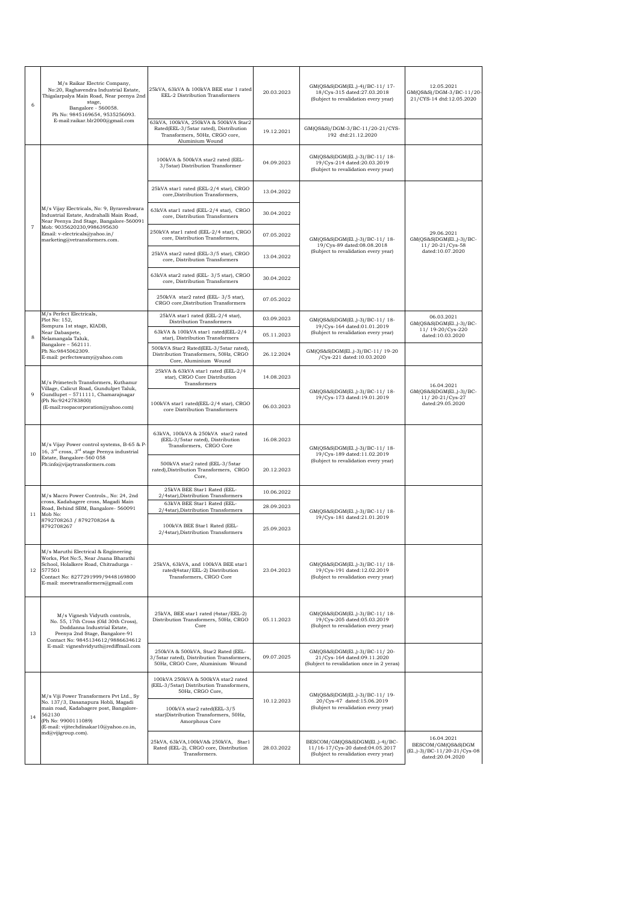| 6                   | M/s Raikar Electric Company,<br>No:20, Raghavendra Industrial Estate,<br>Thigalarpalya Main Road, Near peenya 2nd<br>stage,<br>Bangalore - 560058.<br>Ph No: 9845169654, 9535256093.                        | 25kVA, 63kVA & 100kVA BEE star 1 rated<br>EEL-2 Distribution Transformers                                                           | 20.03.2023 | GM(QS&S)DGM(El.,)-4)/BC-11/17-<br>18/Cys-315 dated:27.03.2018<br>(Subject to revalidation every year)       | 12.05.2021<br>GM(QS&S)/DGM-3/BC-11/20-<br>21/CYS-14 dtd:12.05.2020                      |
|---------------------|-------------------------------------------------------------------------------------------------------------------------------------------------------------------------------------------------------------|-------------------------------------------------------------------------------------------------------------------------------------|------------|-------------------------------------------------------------------------------------------------------------|-----------------------------------------------------------------------------------------|
|                     | E-mail:raikar.blr2000@gmail.com                                                                                                                                                                             | 63kVA, 100kVA, 250kVA & 500kVA Star2<br>Rated(EEL-3/5star rated), Distribution<br>Transformers, 50Hz, CRGO core,<br>Aluminium Wound | 19.12.2021 | GM(QS&S)/DGM-3/BC-11/20-21/CYS-<br>192 dtd:21.12.2020                                                       |                                                                                         |
|                     | M/s Vijay Electricals, No: 9, Byraveshwara<br>Industrial Estate, Andrahalli Main Road,<br>Near Peenya 2nd Stage, Bangalore-560091                                                                           | 100kVA & 500kVA star2 rated (EEL-<br>3/5star) Distribution Transformer                                                              | 04.09.2023 | GM(QS&S)DGM(El.,)-3)/BC-11/18-<br>19/Cys-214 dated:20.03.2019<br>(Subject to revalidation every year)       |                                                                                         |
|                     |                                                                                                                                                                                                             | 25kVA star1 rated (EEL-2/4 star), CRGO<br>core, Distribution Transformers,                                                          | 13.04.2022 |                                                                                                             |                                                                                         |
|                     |                                                                                                                                                                                                             | 63kVA star1 rated (EEL-2/4 star), CRGO<br>core, Distribution Transformers                                                           | 30.04.2022 |                                                                                                             |                                                                                         |
| $\scriptstyle\rm 7$ | Mob: 9035620230,9986395630<br>Email: v-electricals@yahoo.in/<br>marketing@vetransformers.com.                                                                                                               | 250kVA star1 rated (EEL-2/4 star), CRGO<br>core, Distribution Transformers,                                                         | 07.05.2022 | GM(QS&S)DGM(El.,)-3)/BC-11/18-                                                                              | 29.06.2021<br>GM(QS&S)DGM(El.,)-3)/BC-                                                  |
|                     |                                                                                                                                                                                                             | 25kVA star2 rated (EEL-3/5 star), CRGO<br>core, Distribution Transformers                                                           | 13.04.2022 | 19/Cys-89 dated:08.08.2018<br>(Subject to revalidation every year)                                          | 11/20-21/Cys-58<br>dated:10.07.2020                                                     |
|                     |                                                                                                                                                                                                             | 63kVA star2 rated (EEL-3/5 star), CRGO<br>core, Distribution Transformers                                                           | 30.04.2022 |                                                                                                             |                                                                                         |
|                     |                                                                                                                                                                                                             | 250kVA star2 rated (EEL-3/5 star),<br>CRGO core, Distribution Transformers                                                          | 07.05.2022 |                                                                                                             |                                                                                         |
|                     | M/s Perfect Electricals,<br>Plot No: 152,<br>Sompura 1st stage, KIADB,                                                                                                                                      | 25kVA star1 rated (EEL-2/4 star),<br>Distribution Transformers                                                                      | 03.09.2023 | GM(QS&S)DGM(El.,)-3)/BC-11/18-<br>19/Cys-164 dated:01.01.2019                                               | 06.03.2021<br>$GM(QS&S)DGM(E1.,-3)/BC-$                                                 |
| 8                   | Near Dabaspete,<br>Nelamangala Taluk,                                                                                                                                                                       | 63kVA & 100kVA star1 rated(EEL-2/4<br>star), Distribution Transformers                                                              | 05.11.2023 | (Subject to revalidation every year)                                                                        | 11/ 19-20/Cys-220<br>dated:10.03.2020                                                   |
|                     | Bangalore - 562111.<br>Ph No:9845062309.<br>E-mail: perfectswamy@yahoo.com                                                                                                                                  | 500kVA Star2 Rated(EEL-3/5star rated),<br>Distribution Transformers, 50Hz, CRGO<br>Core, Aluminium Wound                            | 26.12.2024 | GM(QS&S)DGM(El.,)-3)/BC-11/ 19-20<br>/Cys-221 dated:10.03.2020                                              |                                                                                         |
|                     | M/s Primetech Transformers, Kuthanur<br>Village, Calicut Road, Gundulpet Taluk,<br>Gundlupet - 5711111, Chamarajnagar<br>(Ph No:9242783800)<br>(E-mail:roopacorporation@yahoo.com)                          | 25kVA & 63kVA star1 rated (EEL-2/4<br>star), CRGO Core Distribution<br>Transformers                                                 | 14.08.2023 |                                                                                                             | 16.04.2021                                                                              |
| $\overline{9}$      |                                                                                                                                                                                                             | 100kVA star1 rated(EEL-2/4 star), CRGO<br>core Distribution Transformers                                                            | 06.03.2023 | GM(QS&S)DGM(El.,)-3)/BC-11/18-<br>19/Cys-173 dated:19.01.2019                                               | GM(QS&S)DGM(El.,)-3)/BC-<br>11/20-21/Cys-27<br>dated:29.05.2020                         |
| 10                  | M/s Vijay Power control systems, B-65 & P-<br>16, 3 <sup>rd</sup> cross, 3 <sup>rd</sup> stage Peenya industrial<br>Estate, Bangalore-560 058<br>Ph:info@vijaytransformers.com                              | 63kVA, 100kVA & 250kVA star2 rated<br>(EEL-3/5star rated), Distribution<br>Transformers, CRGO Core                                  | 16.08.2023 | GM(QS&S)DGM(El.,)-3)/BC-11/18-<br>19/Cys-189 dated:11.02.2019                                               |                                                                                         |
|                     |                                                                                                                                                                                                             | 500kVA star2 rated (EEL-3/5star<br>rated), Distribution Transformers, CRGO<br>Core,                                                 | 20.12.2023 | (Subject to revalidation every year)                                                                        |                                                                                         |
|                     | M/s Macro Power Controls., No: 24, 2nd<br>cross, Kadabagere cross, Magadi Main<br>Road, Behind SBM, Bangalore- 560091<br>Mob No:<br>8792708263 / 8792708264 &<br>8792708267                                 | 25kVA BEE Star1 Rated (EEL-<br>2/4star), Distribution Transformers                                                                  | 10.06.2022 |                                                                                                             |                                                                                         |
| 11                  |                                                                                                                                                                                                             | 63kVA BEE Star1 Rated (EEL-<br>2/4star), Distribution Transformers                                                                  | 28.09.2023 | GM(QS&S)DGM(El.,)-3)/BC-11/18-                                                                              |                                                                                         |
|                     |                                                                                                                                                                                                             | 100kVA BEE Star1 Rated (EEL-<br>2/4star), Distribution Transformers                                                                 | 25.09.2023 | 19/Cys-181 dated:21.01.2019                                                                                 |                                                                                         |
| 12                  | M/s Maruthi Electrical & Engineering<br>Works, Plot No:5, Near Jnana Bharathi<br>School, Holalkere Road, Chitradurga -<br>577501<br>Contact No: 8277291999/9448169800<br>E-mail: meewtransformers@gmail.com | 25kVA, 63kVA, and 100kVA BEE star1<br>rated(4star/EEL-2) Distribution<br>Transformers, CRGO Core                                    | 23.04.2023 | GM(QS&S)DGM(El.,)-3)/BC-11/18-<br>19/Cys-191 dated:12.02.2019<br>(Subject to revalidation every year)       |                                                                                         |
| 13                  | M/s Vignesh Vidyuth controls,<br>No. 55, 17th Cross (Old 30th Cross).<br>Doddanna Industrial Estate,<br>Peenya 2nd Stage, Bangalore-91<br>Contact No: 9845134612/9886634612                                 | 25kVA, BEE star1 rated (4star/EEL-2)<br>Distribution Transformers, 50Hz, CRGO<br>Core                                               | 05.11.2023 | GM(QS&S)DGM(El.,)-3)/BC-11/18-<br>19/Cys-205 dated:05.03.2019<br>(Subject to revalidation every year)       |                                                                                         |
|                     | E-mail: vigneshvidyuth@rediffmail.com                                                                                                                                                                       | 250kVA & 500kVA, Star2 Rated (EEL-<br>3/5star rated), Distribution Transformers,<br>50Hz, CRGO Core, Aluminium Wound                | 09.07.2025 | GM(QS&S)DGM(El.,)-3)/BC-11/20-<br>21/Cys-164 dated:09.11.2020<br>(Subject to revalidation once in 2 yeras)  |                                                                                         |
| 14                  | M/s Viji Power Transformers Pvt Ltd., Sy                                                                                                                                                                    | 100kVA 250kVA & 500kVA star2 rated<br>(EEL-3/5star) Distribution Transformers,<br>50Hz, CRGO Core,                                  |            | GM(QS&S)DGM(El.,)-3)/BC-11/19-                                                                              |                                                                                         |
|                     | No. 137/3, Dasanapura Hobli, Magadi<br>main road, Kadabagere post, Bangalore-<br>562130<br>(Ph No: 9900111089)<br>(E-mail: vijitechdinakar10@yahoo.co.in,                                                   | 100kVA star2 rated(EEL-3/5<br>star)Distribution Transformers, 50Hz,<br>Amorphous Core                                               | 10.12.2023 | 20/Cys-47 dated:15.06.2019<br>(Subject to revalidation every year)                                          |                                                                                         |
|                     | md@vijigroup.com).                                                                                                                                                                                          | 25kVA, 63kVA, 100kVA& 250kVA, Star1<br>Rated (EEL-2), CRGO core, Distribution<br>Transformers.                                      | 28.03.2022 | BESCOM/GM(QS&S)DGM(El.,)-4)/BC-<br>11/16-17/Cys-20 dated:04.05.2017<br>(Subject to revalidation every year) | 16.04.2021<br>BESCOM/GM(QS&S)DGM<br>(El., )-3) / BC-11/20-21/Cys-08<br>dated:20.04.2020 |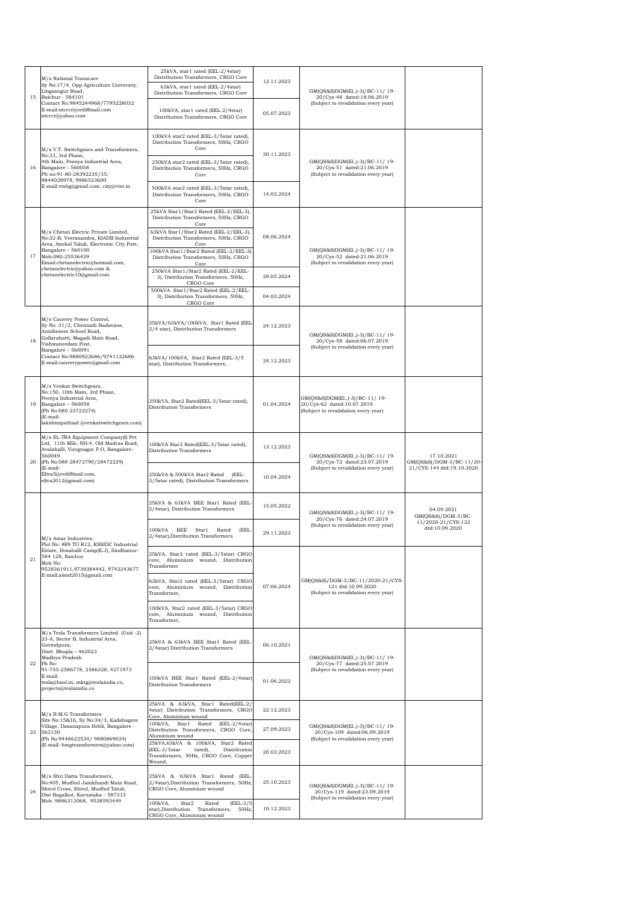| 15 | M/s National Transcare<br>Sy No:17/4, Opp Agriculture University,<br>Lingasugur Road,<br>Raichur - 584101<br>Contact No:9845244968/7795228032<br>E-mail:ntcrcr@rediffmail.com<br>ntcrcr@yahoo.com                                                                | 25kVA, star1 rated (EEL-2/4star)<br>Distribution Transformers, CRGO Core<br>63kVA, star1 rated (EEL-2/4star)                    | 12.11.2023 | GM(QS&S)DGM(El.,)-3)/BC-11/19-<br>20/Cys-48 dated:18.06.2019<br>(Subject to revalidation every year)  |                                        |
|----|------------------------------------------------------------------------------------------------------------------------------------------------------------------------------------------------------------------------------------------------------------------|---------------------------------------------------------------------------------------------------------------------------------|------------|-------------------------------------------------------------------------------------------------------|----------------------------------------|
|    |                                                                                                                                                                                                                                                                  | Distribution Transformers, CRGO Core<br>100kVA, star1 rated (EEL-2/4star)                                                       | 05.07.2023 |                                                                                                       |                                        |
|    |                                                                                                                                                                                                                                                                  | Distribution Transformers, CRGO Core<br>100kVA star2 rated (EEL-3/5star rated),                                                 |            |                                                                                                       |                                        |
|    | M/s V.T. Switchgears and Transformers,<br>No:33, 3rd Phase,                                                                                                                                                                                                      | Distribution Transformers, 50Hz, CRGO<br>Core                                                                                   | 30.11.2023 |                                                                                                       |                                        |
| 16 | 4th Main, Peenya Industrial Area,<br>Bangalore - 560058<br>Ph no:91-80-28392235/35,<br>9844028978, 9986523600<br>E-mail:vtsbg@gmail.com, city@vtst.in                                                                                                            | 250kVA star2 rated (EEL-3/5star rated),<br>Distribution Transformers, 50Hz, CRGO<br>Core                                        |            | GM(QS&S)DGM(El.,)-3)/BC-11/ 19-<br>20/Cys-51 dated:21.06.2019<br>(Subject to revalidation every year) |                                        |
|    |                                                                                                                                                                                                                                                                  | 500kVA star2 rated (EEL-3/5star rated),<br>Distribution Transformers, 50Hz, CRGO<br>Core                                        | 14.03.2024 |                                                                                                       |                                        |
|    |                                                                                                                                                                                                                                                                  | 25kVA Star1/Star2 Rated (EEL-2/EEL-3),<br>Distribution Transformers, 50Hz, CRGO<br>Core                                         |            |                                                                                                       |                                        |
|    | M/s Chetan Electric Private Limited,<br>No:32-B, Veerasandra, KIADB Industrial<br>Area, Anekal Taluk, Electronic City Post,                                                                                                                                      | 63kVA Star1/Star2 Rated (EEL-2/EEL-3),<br>Distribution Transformers, 50Hz, CRGO<br>Core                                         | 08.06.2024 |                                                                                                       |                                        |
| 17 | Bangalore - 560100<br>Mob:080-25536439                                                                                                                                                                                                                           | 100kVA Star1/Star2 Rated (EEL-2/EEL-3)<br>Distribution Transformers, 50Hz, CRGO                                                 |            | GM(QS&S)DGM(El.,)-3)/BC-11/ 19-<br>20/Cys-52 dated:21.06.2019                                         |                                        |
|    | Email:chetanelectric@hotmail.com,<br>chetanelectric@yahoo.com &<br>chetanelectric10@gmail.com                                                                                                                                                                    | Core<br>250kVA Star1/Star2 Rated (EEL-2/EEL-<br>3), Distribution Transformers, 50Hz,<br>CRGO Core                               | 29.05.2024 | (Subject to revalidation every year)                                                                  |                                        |
|    |                                                                                                                                                                                                                                                                  | 500kVA Star1/Star2 Rated (EEL-2/EEL-<br>3), Distribution Transformers, 50Hz,<br>CRGO Core                                       | 04.03.2024 |                                                                                                       |                                        |
| 18 | M/s Cauvery Power Control,<br>Sy No: 31/2, Chennaih Badavane,<br>Annibesent School Road,<br>Gollarahatti, Magadi Main Road,<br>Vishwaneedam Post,<br>Bangalore - 560091<br>Contact No:9880922686/9741122686<br>E-mail:cauverypower@gmail.com                     | 25kVA/63kVA/100kVA, Star1 Rated (EEL<br>2/4 star), Distribution Transformers                                                    | 24.12.2023 | GM(QS&S)DGM(El.,)-3)/BC-11/19-<br>20/Cys-58 dated:06.07.2019                                          |                                        |
|    |                                                                                                                                                                                                                                                                  | 63kVA/100kVA, Star2 Rated (EEL-3/5<br>star), Distribution Transformers,                                                         | 24.12.2023 | (Subject to revalidation every year)                                                                  |                                        |
| 19 | M/s Venkat Switchgears,<br>No:150, 10th Main, 3rd Phase,<br>Peenya Industrial Area,<br>Bangalore - 560058<br>(Ph No:080 23722274)<br>(E-mail:<br>lakshmipathiad @venkatswitchgears.com)                                                                          | 250kVA, Star2 Rated(EEL-3/5star rated),<br>Distribution Transformers                                                            | 01.04.2024 | GM(QS&S)DGM(El.,)-3)/BC-11/19-<br>20/Cys-62 dated:10.07.2019<br>(Subject to revalidation every year)  |                                        |
| 20 | M/s EL-TRA Equipment Company(I) Pvt<br>Ltd, 11th Mile, NH-4, Old Madras Road,<br>Avalahalli, Virognagar P.O, Bangalore-<br>560049<br>(Ph No:080 28472790/28472229)<br>(E-mail:<br>Eltra5@rediffmail.com,<br>eltra2012@gmail.com)                                 | 100kVA Star2 Rated(EEL-3/5star rated),<br>Distribution Transformers                                                             | 13.12.2023 | GM(QS&S)DGM(El.,)-3)/BC-11/ 19-                                                                       | 17.10.2021<br>GM(QS&S)/DGM-3/BC-11/20- |
|    |                                                                                                                                                                                                                                                                  | 250kVA & 500kVA Star2 Rated (EEL-<br>3/5star rated), Distribution Transformers                                                  | 10.04.2024 | 20/Cys-72 dated:23.07.2019<br>(Subject to revalidation every year)                                    | 21/CYS-144 dtd:19.10.2020              |
|    | M/s Amar Industries,<br>Plot No: #R9 TO R12, KSSIDC Industrial<br>Estate, Hosahalli Camp(E.J), Sindhanur-<br>584 128, Raichur<br>Mob No:<br>9538361911.9739384442.9742243677<br>E-mail:aisnd2015@gmail.com                                                       | 25kVA & 63kVA BEE Star1 Rated (EEL-<br>2/4star), Distribution Transformers                                                      | 15.05.2022 | GM(QS&S)DGM(El.,)-3)/BC-11/19-<br>20/Cys-76 dated:24.07.2019<br>(Subject to revalidation every year)  | 04.09.2021<br>$GM(QS&S)/DGM-3/BC-$     |
|    |                                                                                                                                                                                                                                                                  | 100kVA BEE Star1 Rated<br>(EEL-<br>2/4star), Distribution Transformers                                                          | 29.11.2023 |                                                                                                       | 11/2020-21/CYS-122<br>dtd:10.09.2020   |
| 21 |                                                                                                                                                                                                                                                                  | 25kVA, Star2 rated (EEL-3/5star) CRGO<br>core, Aluminium wound, Distribution<br>Transformer                                     |            |                                                                                                       |                                        |
|    |                                                                                                                                                                                                                                                                  | 63kVA, Star2 rated (EEL-3/5star) CRGO<br>core, Aluminium wound, Distribution<br>Transformer,                                    | 07.06.2024 | GM(QS&S)/DGM-3/BC-11/2020-21/CYS-<br>121 dtd:10.09.2020<br>(Subject to revalidation every year)       |                                        |
|    |                                                                                                                                                                                                                                                                  | 100kVA, Star2 rated (EEL-3/5star) CRGO<br>core, Aluminium wound, Distribution<br>Transformer,                                   |            |                                                                                                       |                                        |
| 22 | M/s Tesla Transformers Limited (Unit -2)<br>23-A, Sector B, Industrial Area,<br>Govindpura,<br>Distt. Bhopla - 462023<br>Madhya Pradesh<br>Ph No:<br>91-755-2586778, 2586328, 4271973<br>E-mail:<br>tesla@bsnl.in, mktg@teslaindia.co,<br>projects@teslaindia.co | 25kVA & 63kVA BEE Star1 Rated (EEL-<br>2/4star) Distribution Transformers                                                       | 06.10.2021 | GM(QS&S)DGM(El.,)-3)/BC-11/19-<br>20/Cys-77 dated:25.07.2019                                          |                                        |
|    |                                                                                                                                                                                                                                                                  | 100kVA BEE Star1 Rated (EEL-2/4star)<br>Distribution Transformers                                                               | 01.06.2022 | (Subject to revalidation every year)                                                                  |                                        |
| 23 | M/s B.M.G Transformers                                                                                                                                                                                                                                           | 25kVA & 63kVA, Star1 Rated(EEL-2/<br>4star) Distribution Transformers, CRGO<br>Core, Aluminium wound                            | 22.12.2023 |                                                                                                       |                                        |
|    | Site No:15&16, Sy No:34/3, Kadabagere<br>Village, Dasanapura Hobli, Bangalore -<br>562130<br>(Ph No:9448622534/ 9880869024)<br>(E-mail: bmgtransformers@yahoo.com)                                                                                               | 100kVA, Star1 Rated<br>$(EEL-2/4star)$<br>Distribution Transformers, CRGO Core,<br>Aluminium wound                              | 27.09.2023 | GM(QS&S)DGM(El.,)-3)/BC-11/ 19-<br>20/Cys-109 dated:06.09.2019                                        |                                        |
|    |                                                                                                                                                                                                                                                                  | 25kVA,63kVA & 100kVA, Star2 Rated<br>(EEL-3/5star<br>rated),<br>Distribution<br>Transformers, 50Hz, CRGO Core, Copper<br>Wound, | 20.03.2023 | (Subject to revalidation every year)                                                                  |                                        |
| 24 | M/s Shri Datta Transformers,<br>No:405, Mudhol Jamkhandi Main Road,<br>Shirol Cross, Shirol, Mudhol Taluk,<br>Dist Bagalkot, Karnataka - 587313                                                                                                                  | 25kVA & 63kVA Star1 Rated (EEL-<br>2/4star), Distribution Transformers, 50Hz,<br>CRGO Core, Aluminium wound                     | 25.10.2023 | GM(QS&S)DGM(El.,)-3)/BC-11/ 19-<br>20/Cys-119 dated:23.09.2019                                        |                                        |
|    | Mob: 9886313068, 9538593449                                                                                                                                                                                                                                      | 100kVA,<br>$(EEL-3/5$<br>Star2<br>Rated<br>star), Distribution Transformers, 50Hz,<br>CRGO Core, Aluminium wound                | 10.12.2023 | (Subject to revalidation every year)                                                                  |                                        |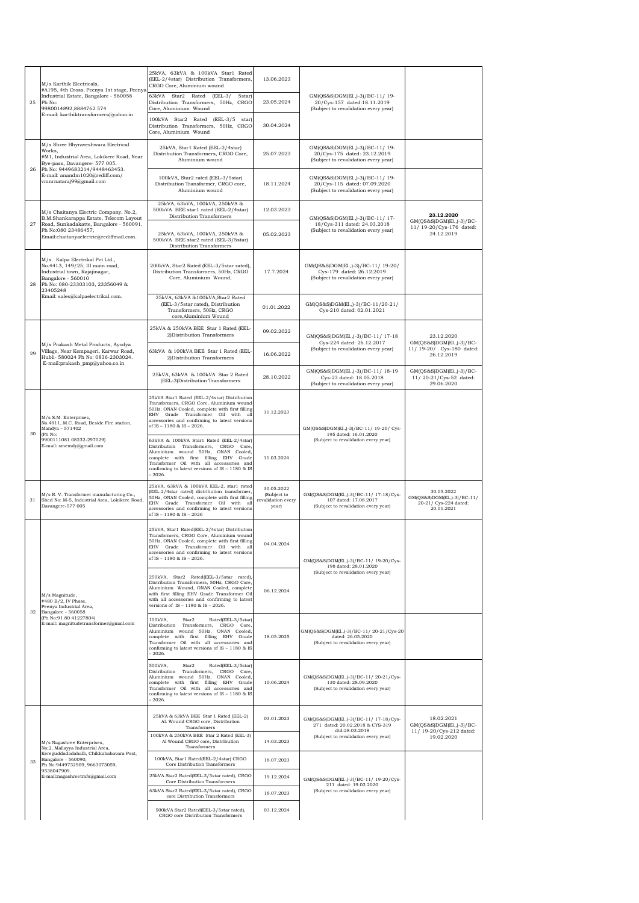|    |    | M/s Karthik Electricals,<br>#A195, 4th Cross, Peenya 1st stage, Peenya                                                                                                                                                   | 25kVA, 63kVA & 100kVA Star1 Rated<br>(EEL-2/4star) Distribution Transformers,<br>CRGO Core, Aluminium wound                                                                                                                                                                 | 13.06.2023                                               |                                                                                                         |                                                                                  |
|----|----|--------------------------------------------------------------------------------------------------------------------------------------------------------------------------------------------------------------------------|-----------------------------------------------------------------------------------------------------------------------------------------------------------------------------------------------------------------------------------------------------------------------------|----------------------------------------------------------|---------------------------------------------------------------------------------------------------------|----------------------------------------------------------------------------------|
| 25 |    | Industrial Estate, Bangalore - 560058<br>Ph No:<br>9980014892,8884762 574                                                                                                                                                | 63kVA<br>Star2 Rated (EEL-3/<br>5star)<br>Distribution Transformers, 50Hz, CRGO<br>Core, Aluminium Wound                                                                                                                                                                    | 23.05.2024                                               | GM(QS&S)DGM(El.,)-3)/BC-11/ 19-<br>20/Cys-157 dated:18.11.2019<br>(Subject to revalidation every year)  |                                                                                  |
|    |    | E-mail: karthiktransformers@yahoo.in                                                                                                                                                                                     | 100kVA Star2 Rated (EEL-3/5 star)<br>Distribution Transformers, 50Hz, CRGO<br>Core, Aluminium Wound                                                                                                                                                                         | 30.04.2024                                               |                                                                                                         |                                                                                  |
| 26 |    | M/s Shree Bhyraveshwara Electrical<br>Works,<br>#M1, Industrial Area, Lokikere Road, Near<br>Bye-pass, Davangere- 577 005.<br>Ph No: 9449683214/9448463453.<br>E-mail: anandm1020@rediff.com/<br>vmnrnataraj99@gmail.com | 25kVA, Star1 Rated (EEL-2/4star)<br>Distribution Transformers, CRGO Core,<br>Aluminium wound                                                                                                                                                                                | 25.07.2023                                               | GM(QS&S)DGM(El.,)-3)/BC-11/19-<br>20/Cys-175 dated: 23.12.2019<br>(Subject to revalidation every year)  |                                                                                  |
|    |    |                                                                                                                                                                                                                          | 100kVA, Star2 rated (EEL-3/5star)<br>Distribution Transformer, CRGO core.<br>Aluminium wound                                                                                                                                                                                | 18.11.2024                                               | GM(QS&S)DGM(El.,)-3)/BC-11/19-<br>20/Cys-115 dated: 07.09.2020<br>(Subject to revalidation every year)  |                                                                                  |
|    |    | M/s Chaitanya Electric Company, No.2,<br>B.M.Shankarappa Estate, Telecom Layout<br>Road, Sunkadakatte, Bangalore - 560091.<br>Ph No:080 23486457,<br>Email:chaitanyaelectric@rediffmail.com.                             | 25kVA, 63kVA, 100kVA, 250kVA &<br>500kVA BEE star1 rated (EEL-2/4star)<br>Distribution Transformers                                                                                                                                                                         | 12.03.2023                                               | GM(QS&S)DGM(El.,)-3)/BC-11/17-                                                                          | 23.12.2020                                                                       |
|    | 27 |                                                                                                                                                                                                                          | 25kVA, 63kVA, 100kVA, 250kVA &<br>500kVA BEE star2 rated (EEL-3/5star)<br>Distribution Transformers                                                                                                                                                                         | 05.02.2023                                               | 18/Cys-311 dated: 24.03.2018<br>(Subject to revalidation every year)                                    | GM(QS&S)DGM(El.,)-3)/BC-<br>11/ 19-20/Cys-176 dated:<br>24.12.2019               |
| 28 |    | M/s. Kalpa Electrikal Pvt Ltd.,<br>No.4413, 149/25, III main road,<br>Industrial town, Rajajinagar,<br>Bangalore - 560010<br>Ph No: 080-23303103, 23356049 &<br>23405248                                                 | 200kVA, Star2 Rated (EEL-3/5star rated),<br>Distribution Transformers, 50Hz, CRGO<br>Core, Aluminium Wound,                                                                                                                                                                 | 17.7.2024                                                | GM(QS&S)DGM(E1.,)-3)/BC-11/19-20/<br>Cys-179 dated: 26.12.2019<br>(Subject to revalidation every year)  |                                                                                  |
|    |    | Email: sales@kalpaelectrikal.com.                                                                                                                                                                                        | 25kVA, 63kVA &100kVA, Star2 Rated<br>(EEL-3/5star rated), Distribution<br>Transformers, 50Hz, CRGO<br>core, Aluminium Wound                                                                                                                                                 | 01.01.2022                                               | GM(QS&S)DGM(El.,)-3)/BC-11/20-21/<br>Cys-210 dated: 02.01.2021                                          |                                                                                  |
|    |    |                                                                                                                                                                                                                          | 25kVA & 250kVA BEE Star 1 Rated (EEL-<br>2) Distribution Transformers                                                                                                                                                                                                       | 09.02.2022                                               | GM(QS&S)DGM(El.,)-3)/BC-11/ 17-18<br>Cys-224 dated: 26.12.2017                                          | 23.12.2020<br>GM(QS&S)DGM(El.,)-3)/BC-                                           |
|    | 29 | M/s Prakash Metal Products, Ayodya<br>Village, Near Kempageri, Karwar Road,<br>Hubli- 580024 Ph No: 0836-2303024.<br>E-mail:prakash_pmp@yahoo.co.in                                                                      | 63kVA & 100kVA BEE Star 1 Rated (EEL-<br>2) Distribution Transformers                                                                                                                                                                                                       | 16.06.2022                                               | (Subject to revalidation every year)                                                                    | 11/ 19-20/ Cys-180 dated:<br>26.12.2019                                          |
|    |    |                                                                                                                                                                                                                          | 25kVA, 63kVA & 100kVA Star 2 Rated<br>(EEL-3)Distribution Transformers                                                                                                                                                                                                      | 28.10.2022                                               | GM(QS&S)DGM(EL,)-3)/BC-11/18-19<br>Cys-23 dated: 18.05.2018<br>(Subject to revalidation every year)     | GM(QS&S)DGM(El.,)-3)/BC-<br>11/20-21/Cys-52 dated:<br>29.06.2020                 |
|    |    | M/s S.M. Enterprises,<br>No.4911, M.C. Road, Beside Fire station,<br>Mandya - 571402<br>(Ph No:<br>9900111081 08232-297029)<br>E-mail: smemdy@gmail.com                                                                  | 25kVA Star1 Rated (EEL-2/4star) Distribution<br>Transformers, CRGO Core, Aluminium wound<br>50Hz, ONAN Cooled, complete with first filling<br>Grade Transformer Oil with all<br>EHV<br>accessories and confirming to latest versions<br>of IS - 1180 & IS - 2026.           | 11.12.2023                                               | GM(QS&S)DGM(El.,)-3)/BC-11/ 19-20/ Cys-                                                                 |                                                                                  |
| 30 |    |                                                                                                                                                                                                                          | 63kVA & 100kVA Star1 Rated (EEL-2/4star)<br>Distribution Transformers, CRGO Core,<br>Aluminium wound 50Hz, ONAN Cooled,<br>complete with first filling EHV Grade<br>Transformer Oil with all accessories and<br>confirming to latest versions of IS - 1180 & IS<br>$-2026.$ | 11.03.2024                                               | 195 dated: 16.01.2020<br>(Subject to revalidation every year)                                           |                                                                                  |
|    | 31 | M/s R.V. Transformer manufacturing Co.,<br>Shed No: M-5, Industrial Area, Lokikere Road,<br>Davangere-577 005                                                                                                            | 25kVA, 63kVA & 100kVA EEL-2, star1 rated<br>(EEL-2/4star rated) distribution transformer,<br>50Hz, ONAN Cooled, complete with first filling<br>EHV Grade Transformer Oil with all<br>accessories and confirming to latest versions<br>of IS - 1180 & IS - 2026              | 30.05.2022<br>(Subject to<br>revalidation every<br>year) | GM(QS&S)DGM(EL,)-3)/BC-11/ 17-18/Cys-<br>107 dated: 17.08.2017<br>(Subject to revalidation every year)  | 30.05.2022<br>GM(QS&S)DGM(El.,)-3)/BC-11/<br>20-21/ Cys-224 dated:<br>20.01.2021 |
|    |    | M/s Magnitude,<br>#480 B/2, IV Phase,<br>Peenya Industrial Area,<br>Bangalore - 560058<br>(Ph No:91 80 41227804)<br>E-mail: magnitudetransformer@gmail.com                                                               | 25kVA, Star1 Rated(EEL-2/4star) Distribution<br>Transformers, CRGO Core, Aluminium wound<br>50Hz, ONAN Cooled, complete with first filling<br>EHV Grade Transformer Oil with al<br>accessories and confirming to latest versions<br>of IS - 1180 & IS - 2026.               | 04.04.2024                                               | GM(QS&S)DGM(El.,)-3)/BC-11/ 19-20/Cys-<br>198 dated: 28.01.2020                                         |                                                                                  |
| 32 |    |                                                                                                                                                                                                                          | 250kVA, Star2 Rated(EEL-3/5star rated),<br>Distribution Transformers, 50Hz, CRGO Core,<br>Aluminium Wound, ONAN Cooled, complete<br>with first filling EHV Grade Transformer Oil<br>with all accessories and confirming to latest<br>versions of IS - 1180 & IS - 2026.     | 06.12.2024                                               | (Subject to revalidation every year)                                                                    |                                                                                  |
|    |    |                                                                                                                                                                                                                          | 100kVA,<br>Rated(EEL-3/5star)<br>Star2<br>Distribution Transformers, CRGO Core,<br>Aluminium wound 50Hz, ONAN Cooled,<br>complete with first filling EHV Grade<br>Transformer Oil with all accessories and<br>confirming to latest versions of IS - 1180 & IS<br>$-2026.$   | 18.05.2025                                               | GM(QS&S)DGM(El.,)-3)/BC-11/20-21/Cys-20<br>dated: 26.05.2020<br>(Subject to revalidation every year)    |                                                                                  |
|    |    |                                                                                                                                                                                                                          | 500kVA,<br>Rated(EEL-3/5star)<br>Star2<br>Distribution Transformers, CRGO Core,<br>Aluminium wound 50Hz, ONAN Cooled,<br>complete with first filling EHV Grade<br>Transformer Oil with all accessories and<br>confirming to latest versions of IS - 1180 & IS<br>$-2026.$   | 10.06.2024                                               | GM(QS&S)DGM(El.,)-3)/BC-11/20-21/Cys-<br>130 dated: 28.09.2020<br>(Subject to revalidation every year)  |                                                                                  |
|    |    |                                                                                                                                                                                                                          | 25kVA & 63kVA BEE Star 1 Rated (EEL-2)<br>Al. Wound CRGO core, Distribution<br>Transformers                                                                                                                                                                                 | 03.01.2023                                               | GM(QS&S)DGM(El.,)-3)/BC-11/ 17-18/Cys-<br>271 dated: 20.02.2018 & CYS-319<br>dtd:28.03.2018             | 18.02.2021<br>GM(QS&S)DGM(El.,)-3)/BC-<br>11/ 19-20/Cys-212 dated:               |
|    |    | M/s Nagashree Enterprises,<br>No;2, Mallayya Industrial Area,                                                                                                                                                            | 100kVA & 250kVA BEE Star 2 Rated (EEL-3)<br>Al Wound CRGO core, Distribution<br>Transformers                                                                                                                                                                                | 14.03.2023                                               | (Subject to revalidation every year)                                                                    | 19.02.2020                                                                       |
|    | 33 | Kereguddadadahalli, Chikkababavara Post,<br>Bangalore - 560090,<br>Ph No:9449732909, 9663073059,<br>9538047909.                                                                                                          | 100kVA, Star1 Rated(EEL-2/4star) CRGO<br>Core Distribution Transformers                                                                                                                                                                                                     | 18.07.2023                                               | GM(QS&S)DGM(El.,)-3)/BC-11/ 19-20/Cys-<br>211 dated: 19.02.2020<br>(Subject to revalidation every year) |                                                                                  |
|    |    | E-mail:nagashreetrafo@gmail.com                                                                                                                                                                                          | 25kVA Star2 Rated(EEL-3/5star rated), CRGO<br>Core Distribution Transformers                                                                                                                                                                                                | 19.12.2024                                               |                                                                                                         |                                                                                  |
|    |    |                                                                                                                                                                                                                          | 63kVA Star2 Rated(EEL-3/5star rated), CRGO<br>core Distribution Transformers                                                                                                                                                                                                | 18.07.2023                                               |                                                                                                         |                                                                                  |
|    |    |                                                                                                                                                                                                                          | 500kVA Star2 Rated(EEL-3/5star rated),<br>CRGO core Distribution Transformers                                                                                                                                                                                               | 03.12.2024                                               |                                                                                                         |                                                                                  |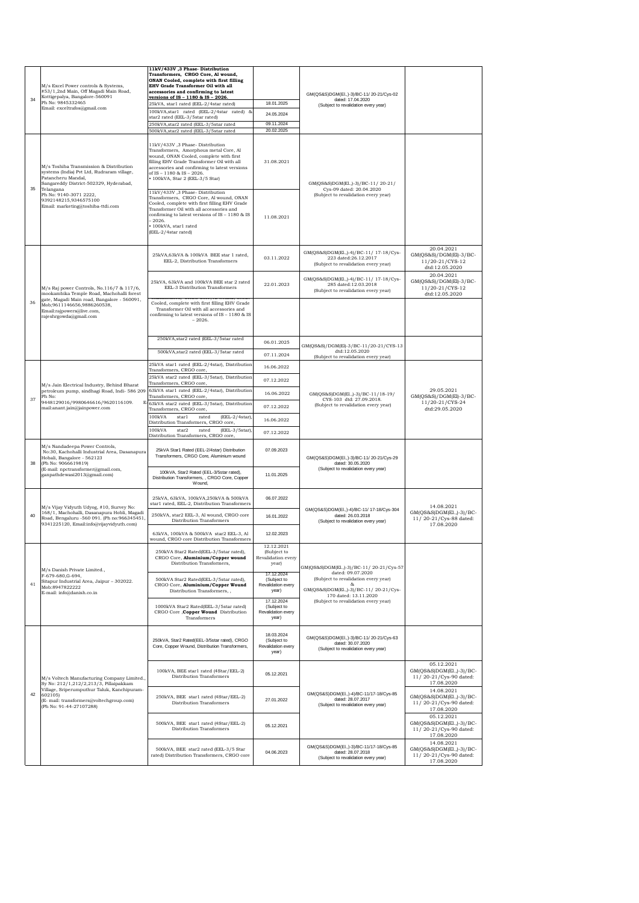| 34 | M/s Excel Power controls & Systems,<br>#53/1,2nd Main, Off Magadi Main Road,<br>Kottigepalya, Bangalore-560091<br>Ph No: 9845332465<br>Email: exceltrafos@gmail.com                                                                                        | 11kV/433V ,3 Phase-Distribution<br>Transformers, CRGO Core, Al wound,<br>ONAN Cooled, complete with first filling<br>EHV Grade Transformer Oil with all<br>accessories and confirming to latest<br><u>versions of IS – 1180 &amp; IS – 2026.</u><br>25kVA, star1 rated (EEL-2/4star rated)<br>100kVA, star1 rated (EEL-2/4star rated) &<br>star2 rated (EEL-3/5star rated)<br>250kVA, star2 rated (EEL-3/5star rated<br>500kVA, star2 rated (EEL-3/5star rated | 18.01.2025<br>24.05.2024<br>09.11.2024<br>20.02.2025     | GM(QS&S)DGM(El.,)-3)/BC-11/20-21/Cys-02<br>dated: 17.04.2020<br>(Subject to revalidation every year)                              |                                                                                |
|----|------------------------------------------------------------------------------------------------------------------------------------------------------------------------------------------------------------------------------------------------------------|----------------------------------------------------------------------------------------------------------------------------------------------------------------------------------------------------------------------------------------------------------------------------------------------------------------------------------------------------------------------------------------------------------------------------------------------------------------|----------------------------------------------------------|-----------------------------------------------------------------------------------------------------------------------------------|--------------------------------------------------------------------------------|
| 35 | M/s Toshiba Transmission & Distribution<br>systems (India) Pvt Ltd, Rudraram village,<br>Patancheru Mandal,<br>Sangareddy District-502329, Hyderabad,<br>Telangana<br>Ph No: 9140-3071 2222,<br>9392148215,9346575100<br>Email: marketing@toshiba-ttdi.com | 11kV/433V ,3 Phase-Distribution<br>Transformers, Amorphous metal Core, Al<br>wound, ONAN Cooled, complete with first<br>filling EHV Grade Transformer Oil with all<br>accessories and confirming to latest versions<br>of IS - 1180 & IS - 2026.<br>• 100kVA, Star 2 (EEL-3/5 Star)                                                                                                                                                                            | 31.08.2021                                               | GM(QS&S)DGM(El.,)-3)/BC-11/20-21/<br>Cys-09 dated: 20.04.2020                                                                     |                                                                                |
|    |                                                                                                                                                                                                                                                            | 11kV/433V, 3 Phase-Distribution<br>Transformers. CRGO Core, Al wound, ONAN<br>Cooled, complete with first filling EHV Grade<br>Transformer Oil with all accessories and<br>confirming to latest versions of IS - 1180 & IS<br>$-2026.$<br>· 100kVA, star1 rated<br>(EEL-2/4star rated)                                                                                                                                                                         | 11.08.2021                                               | (Subject to revalidation every year)                                                                                              |                                                                                |
|    |                                                                                                                                                                                                                                                            | 25kVA,63kVA & 100kVA BEE star 1 rated,<br>EEL-2, Distribution Transformers                                                                                                                                                                                                                                                                                                                                                                                     | 03.11.2022                                               | GM(QS&S)DGM(El.,)-4)/BC-11/ 17-18/Cys-<br>223 dated:26.12.2017<br>(Subject to revalidation every year)                            | 20.04.2021<br>$GM(QS&S)/DGM(EI)-3/BC-$<br>11/20-21/CYS-12<br>dtd:12.05.2020    |
|    | M/s Raj power Controls, No.116/7 & 117/6,<br>mookambika Temple Road, Machohalli forest<br>gate, Magadi Main road, Bangalore - 560091,<br>Mob;9611146656,9886260538,<br>Email:rajpowers@live.com,<br>rajeshrgowda@gmail.com                                 | 25kVA, 63kVA and 100kVA BEE star 2 rated<br>EEL-3 Distribution Transformers                                                                                                                                                                                                                                                                                                                                                                                    | 22.01.2023                                               | GM(QS&S)DGM(El.,)-4)/BC-11/ 17-18/Cys-<br>285 dated:12.03.2018<br>(Subject to revalidation every year)                            | 20.04.2021<br>GM(QS&S)/DGM(El)-3/BC-<br>11/20-21/CYS-12<br>dtd:12.05.2020      |
| 36 |                                                                                                                                                                                                                                                            | Cooled, complete with first filling EHV Grade<br>Transformer Oil with all accessories and<br>confirming to latest versions of IS - 1180 & IS<br>$-2026.$                                                                                                                                                                                                                                                                                                       |                                                          |                                                                                                                                   |                                                                                |
|    |                                                                                                                                                                                                                                                            | 250kVA, star2 rated (EEL-3/5star rated                                                                                                                                                                                                                                                                                                                                                                                                                         | 06.01.2025                                               | GM(QS&S)/DGM(El)-3/BC-11/20-21/CYS-13                                                                                             |                                                                                |
|    |                                                                                                                                                                                                                                                            | 500kVA, star2 rated (EEL-3/5star rated                                                                                                                                                                                                                                                                                                                                                                                                                         | 07.11.2024                                               | dtd:12.05.2020<br>(Subject to revalidation every year)                                                                            |                                                                                |
|    |                                                                                                                                                                                                                                                            | 25kVA star1 rated (EEL-2/4star), Distribution<br>Transformers, CRGO core,                                                                                                                                                                                                                                                                                                                                                                                      | 16.06.2022                                               |                                                                                                                                   |                                                                                |
|    | M/s Jain Electrical Industry, Behind Bharat<br>petroleum pump, sindhagi Road, Indi- 586 209<br>Ph No:<br>9448129016/9980646616/9620116109.<br>E<br>mail:anant.jain@jainpower.com                                                                           | 25kVA star2 rated (EEL-3/5star), Distribution<br>Transformers, CRGO core,                                                                                                                                                                                                                                                                                                                                                                                      | 07.12.2022                                               | GM(QS&S)DGM(El.,)-3)/BC-11/18-19/<br>CYS-103 dtd: 27.09.2018.                                                                     |                                                                                |
| 37 |                                                                                                                                                                                                                                                            | 63kVA star1 rated (EEL-2/4star), Distribution<br>Transformers, CRGO core,                                                                                                                                                                                                                                                                                                                                                                                      | 16.06.2022                                               |                                                                                                                                   | 29.05.2021<br>GM(QS&S)/DGM(El)-3/BC-                                           |
|    |                                                                                                                                                                                                                                                            | 63kVA star2 rated (EEL-3/5star), Distribution<br>Transformers, CRGO core,                                                                                                                                                                                                                                                                                                                                                                                      | 07.12.2022                                               | (Subject to revalidation every year)                                                                                              | 11/20-21/CYS-24<br>dtd:29.05.2020                                              |
|    |                                                                                                                                                                                                                                                            | 100kVA<br>starl<br>rated<br>(EEL-2/4star),<br>Distribution Transformers, CRGO core,                                                                                                                                                                                                                                                                                                                                                                            | 16.06.2022                                               |                                                                                                                                   |                                                                                |
|    |                                                                                                                                                                                                                                                            | 100kVA<br>star2<br>(EEL-3/5star),<br>rated<br>Distribution Transformers, CRGO core,                                                                                                                                                                                                                                                                                                                                                                            | 07.12.2022                                               |                                                                                                                                   |                                                                                |
| 38 | M/s Nandadeepa Power Controls,<br>No:30, Kachohalli Industrial Area, Dasanapura<br>Hobali, Bangalore - 562123<br>(Ph No: 9066619819)<br>(E-mail: npctransformer@gmail.com,<br>ganpathdewasi2013@gmail.com)                                                 | 25kVA Star1 Rated (EEL-2/4star) Distribution<br>Transformers, CRGO Core, Aluminium wound                                                                                                                                                                                                                                                                                                                                                                       | 07.09.2023                                               | GM(QS&S)DGM(El.,)-3)/BC-11/20-21/Cys-29<br>dated: 30.05.2020<br>(Subject to revalidation every year)                              |                                                                                |
|    |                                                                                                                                                                                                                                                            | 100kVA, Star2 Rated (EEL-3/5star rated),<br>Distribution Transformers, , CRGO Core, Copper<br>Wound.                                                                                                                                                                                                                                                                                                                                                           | 11.01.2025                                               |                                                                                                                                   |                                                                                |
|    | M/s Vijay Vidyuth Udyog, #10, Survey No:<br>168/1, Machohalli, Dasanapura Hobli, Magadi                                                                                                                                                                    | 25kVA, 63kVA, 100kVA, 250kVA & 500kVA<br>star1 rated, EEL-2, Distribution Transformers<br>250kVA, star2 EEL-3, Al wound, CRGO core                                                                                                                                                                                                                                                                                                                             | 06.07.2022                                               | GM(QS&S)DGM(El.,)-4)/BC-11/ 17-18/Cys-304                                                                                         | 14.08.2021<br>GM(QS&S)DGM(El.,)-3)/BC-                                         |
| 40 | Road, Bengaluru -560 091. (Ph no:966345451,<br>9341225120, Email:info@vijayvidyuth.com)                                                                                                                                                                    | Distribution Transformers                                                                                                                                                                                                                                                                                                                                                                                                                                      | 16.01.2022                                               | dated: 26.03.2018<br>(Subject to revalidation every year)                                                                         | 11/20-21/Cys-88 dated:<br>17.08.2020                                           |
|    |                                                                                                                                                                                                                                                            | 63kVA, 100kVA & 500kVA star2 EEL-3, Al<br>wound, CRGO core Distribution Transformers                                                                                                                                                                                                                                                                                                                                                                           | 12.02.2023                                               |                                                                                                                                   |                                                                                |
|    |                                                                                                                                                                                                                                                            | 250kVA Star2 Rated(EEL-3/5star rated),<br>CRGO Core, Aluminium/Copper wound<br>Distribution Transformers,                                                                                                                                                                                                                                                                                                                                                      | 12.12.2021<br>(Subject to<br>Revalidation every<br>year) | GM(QS&S)DGM(El.,)-3)/BC-11/20-21/Cys-57                                                                                           |                                                                                |
| 41 | M/s Danish Private Limited.,<br>F-679-680.G-694.<br>Sitapur Industrial Area, Jaipur - 302022.<br>Mob:8947822222<br>E-mail: info@danish.co.in                                                                                                               | 500kVA Star2 Rated(EEL-3/5star rated),<br>CRGO Core, Aluminium/Copper Wound<br>Distribution Transformers,,                                                                                                                                                                                                                                                                                                                                                     | 17.12.2024<br>(Subject to<br>Revalidation every<br>year) | dated: 09.07.2020<br>(Subject to revalidation every year)<br>8.<br>GM(QS&S)DGM(El.,)-3)/BC-11/20-21/Cys-<br>170 dated: 13.11.2020 |                                                                                |
|    |                                                                                                                                                                                                                                                            | 1000kVA Star2 Rated(EEL-3/5star rated)<br>CRGO Core , Copper Wound Distribution<br>Transformers                                                                                                                                                                                                                                                                                                                                                                | 17.12.2024<br>(Subject to<br>Revalidation every<br>year) | (Subject to revalidation every year)                                                                                              |                                                                                |
|    |                                                                                                                                                                                                                                                            | 250kVA, Star2 Rated(EEL-3/5star rated), CRGO<br>Core, Copper Wound, Distribution Transformers,                                                                                                                                                                                                                                                                                                                                                                 | 18.03.2024<br>(Subject to<br>Revalidation every<br>year) | GM(QS&S)DGM(El.,)-3)/BC-11/20-21/Cys-63<br>dated: 30.07.2020<br>(Subject to revalidation every year)                              |                                                                                |
| 42 | M/s Voltech Manufacturing Company Limited.<br>Sv No: 212/1.212/2.213/3. Pillaipakkam                                                                                                                                                                       | 100kVA, BEE star1 rated (4Star/EEL-2)<br>Distribution Transformers                                                                                                                                                                                                                                                                                                                                                                                             | 05.12.2021                                               |                                                                                                                                   | 05.12.2021<br>GM(QS&S)DGM(El.,)-3)/BC-<br>11/20-21/Cys-90 dated:<br>17.08.2020 |
|    | Village, Sriperumputhur Taluk, Kanchipuram-<br>602105)<br>(E- mail: transformers@voltechgroup.com)<br>(Ph No: 91-44-27107288)                                                                                                                              | 250kVA, BEE star1 rated (4Star/EEL-2)<br>Distribution Transformers                                                                                                                                                                                                                                                                                                                                                                                             | 27.01.2022                                               | GM(QS&S)DGM(El.,)-4)/BC-11/17-18/Cys-85<br>dated: 28.07.2017<br>(Subject to revalidation every year)                              | 14.08.2021<br>GM(QS&S)DGM(El.,)-3)/BC-<br>11/20-21/Cys-90 dated:<br>17.08.2020 |
|    |                                                                                                                                                                                                                                                            | 500kVA, BEE star1 rated (4Star/EEL-2)<br>Distribution Transformers                                                                                                                                                                                                                                                                                                                                                                                             | 05.12.2021                                               |                                                                                                                                   | 05.12.2021<br>GM(QS&S)DGM(El.,)-3)/BC-<br>11/20-21/Cys-90 dated:<br>17.08.2020 |
|    |                                                                                                                                                                                                                                                            | 500kVA, BEE star2 rated (EEL-3/5 Star<br>rated) Distribution Transformers, CRGO core                                                                                                                                                                                                                                                                                                                                                                           | 04.06.2023                                               | GM(QS&S)DGM(El.,)-3)/BC-11/17-18/Cys-85<br>dated: 28.07.2018<br>(Subject to revalidation every year)                              | 14.08.2021<br>GM(QS&S)DGM(El.,)-3)/BC-<br>11/20-21/Cys-90 dated:<br>17.08.2020 |